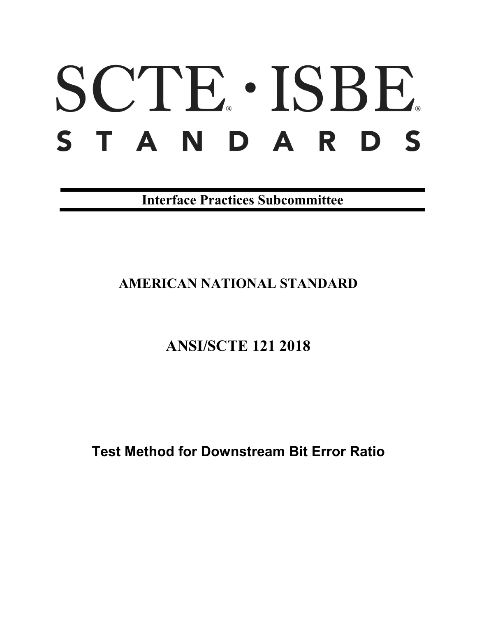# SCTE · ISBE. STANDARDS

**Interface Practices Subcommittee**

# **AMERICAN NATIONAL STANDARD**

# **ANSI/SCTE 121 2018**

**Test Method for Downstream Bit Error Ratio**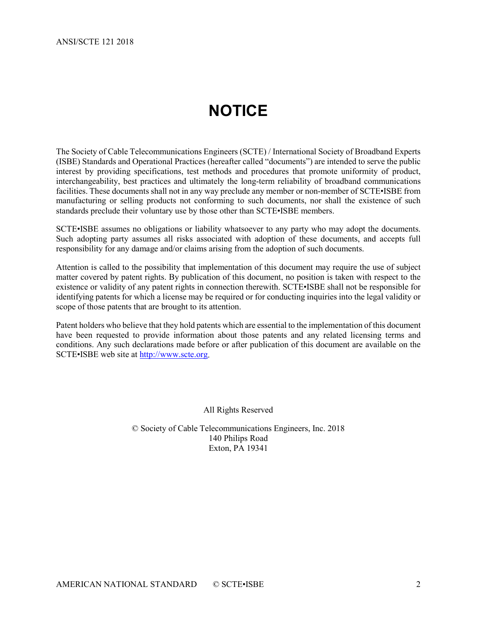# **NOTICE**

<span id="page-1-0"></span>The Society of Cable Telecommunications Engineers (SCTE) / International Society of Broadband Experts (ISBE) Standards and Operational Practices (hereafter called "documents") are intended to serve the public interest by providing specifications, test methods and procedures that promote uniformity of product, interchangeability, best practices and ultimately the long-term reliability of broadband communications facilities. These documents shall not in any way preclude any member or non-member of SCTE•ISBE from manufacturing or selling products not conforming to such documents, nor shall the existence of such standards preclude their voluntary use by those other than SCTE•ISBE members.

SCTE•ISBE assumes no obligations or liability whatsoever to any party who may adopt the documents. Such adopting party assumes all risks associated with adoption of these documents, and accepts full responsibility for any damage and/or claims arising from the adoption of such documents.

Attention is called to the possibility that implementation of this document may require the use of subject matter covered by patent rights. By publication of this document, no position is taken with respect to the existence or validity of any patent rights in connection therewith. SCTE•ISBE shall not be responsible for identifying patents for which a license may be required or for conducting inquiries into the legal validity or scope of those patents that are brought to its attention.

Patent holders who believe that they hold patents which are essential to the implementation of this document have been requested to provide information about those patents and any related licensing terms and conditions. Any such declarations made before or after publication of this document are available on the SCTE•ISBE web site at [http://www.scte.org.](http://www.scte.org/)

All Rights Reserved

© Society of Cable Telecommunications Engineers, Inc. 2018 140 Philips Road Exton, PA 19341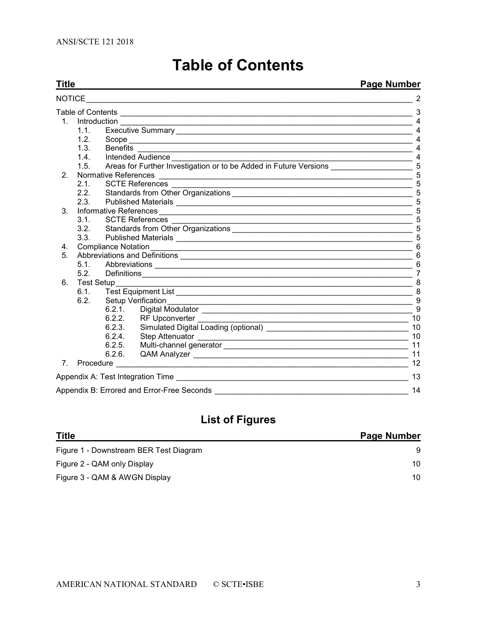<span id="page-2-0"></span>

| Title                                                                                                                                                                                                                                          | <b>Page Number</b>     |                      |                                                                                                                                                                                                                               |                |  |
|------------------------------------------------------------------------------------------------------------------------------------------------------------------------------------------------------------------------------------------------|------------------------|----------------------|-------------------------------------------------------------------------------------------------------------------------------------------------------------------------------------------------------------------------------|----------------|--|
| <b>NOTICE</b><br>the control of the control of the control of the control of the control of the control of the control of the control of the control of the control of the control of the control of the control of the control of the control |                        |                      |                                                                                                                                                                                                                               |                |  |
|                                                                                                                                                                                                                                                |                        |                      |                                                                                                                                                                                                                               |                |  |
|                                                                                                                                                                                                                                                | $1.1 -$                |                      |                                                                                                                                                                                                                               | 4              |  |
|                                                                                                                                                                                                                                                | 1.2                    |                      |                                                                                                                                                                                                                               | 4              |  |
|                                                                                                                                                                                                                                                | 1.3.                   | Benefits             |                                                                                                                                                                                                                               | 4              |  |
|                                                                                                                                                                                                                                                | 1.4.                   |                      | Intended Audience <b>Construction</b>                                                                                                                                                                                         | 4              |  |
|                                                                                                                                                                                                                                                | 1.5                    |                      | Areas for Further Investigation or to be Added in Future Versions 1997 1998                                                                                                                                                   |                |  |
| 2 <sub>1</sub>                                                                                                                                                                                                                                 |                        | Normative References |                                                                                                                                                                                                                               | 5              |  |
|                                                                                                                                                                                                                                                | 2.1                    |                      | <b>SCTE References</b>                                                                                                                                                                                                        | 5              |  |
|                                                                                                                                                                                                                                                | 2.2.                   |                      |                                                                                                                                                                                                                               | 5              |  |
|                                                                                                                                                                                                                                                | 2.3.                   |                      |                                                                                                                                                                                                                               | 5              |  |
| 3.                                                                                                                                                                                                                                             | Informative References |                      |                                                                                                                                                                                                                               | 5              |  |
|                                                                                                                                                                                                                                                | 3.1.                   |                      | <b>SCTE References</b>                                                                                                                                                                                                        | 5              |  |
|                                                                                                                                                                                                                                                | 3.2.                   |                      |                                                                                                                                                                                                                               | 5              |  |
|                                                                                                                                                                                                                                                | 3.3.                   |                      |                                                                                                                                                                                                                               | 6              |  |
| 4.                                                                                                                                                                                                                                             |                        |                      |                                                                                                                                                                                                                               |                |  |
| 5.                                                                                                                                                                                                                                             |                        |                      | 6                                                                                                                                                                                                                             |                |  |
|                                                                                                                                                                                                                                                |                        |                      |                                                                                                                                                                                                                               | 6              |  |
|                                                                                                                                                                                                                                                | 5.2                    |                      |                                                                                                                                                                                                                               | $\overline{7}$ |  |
| 6.                                                                                                                                                                                                                                             | <b>Test Setup</b>      |                      | <u> 1989 - Johann Stoff, amerikansk politiker (d. 1989)</u>                                                                                                                                                                   | 8              |  |
|                                                                                                                                                                                                                                                | 6.1.                   |                      |                                                                                                                                                                                                                               | 8              |  |
|                                                                                                                                                                                                                                                | 6.2.                   |                      |                                                                                                                                                                                                                               |                |  |
|                                                                                                                                                                                                                                                |                        | 6.2.1.               |                                                                                                                                                                                                                               | 9              |  |
|                                                                                                                                                                                                                                                |                        | 6.2.2.               | RF Upconverter                                                                                                                                                                                                                | 10             |  |
|                                                                                                                                                                                                                                                |                        | 6.2.3.               |                                                                                                                                                                                                                               | 10             |  |
|                                                                                                                                                                                                                                                |                        | 6.2.4.               |                                                                                                                                                                                                                               | 10             |  |
|                                                                                                                                                                                                                                                |                        | 6.2.5.               |                                                                                                                                                                                                                               | 11             |  |
|                                                                                                                                                                                                                                                |                        | 6.2.6.               |                                                                                                                                                                                                                               | 11             |  |
|                                                                                                                                                                                                                                                |                        |                      | 7. Procedure and the contract of the contract of the contract of the contract of the contract of the contract of the contract of the contract of the contract of the contract of the contract of the contract of the contract | 12             |  |
|                                                                                                                                                                                                                                                |                        |                      | Appendix A: Test Integration Time                                                                                                                                                                                             | 13             |  |
|                                                                                                                                                                                                                                                |                        |                      | Appendix B: Errored and Error-Free Seconds                                                                                                                                                                                    | 14             |  |

# **Table of Contents**

## **List of Figures**

| <b>Title</b>                           | <b>Page Number</b> |
|----------------------------------------|--------------------|
| Figure 1 - Downstream BER Test Diagram |                    |
| Figure 2 - QAM only Display            | 10                 |
| Figure 3 - QAM & AWGN Display          | 10                 |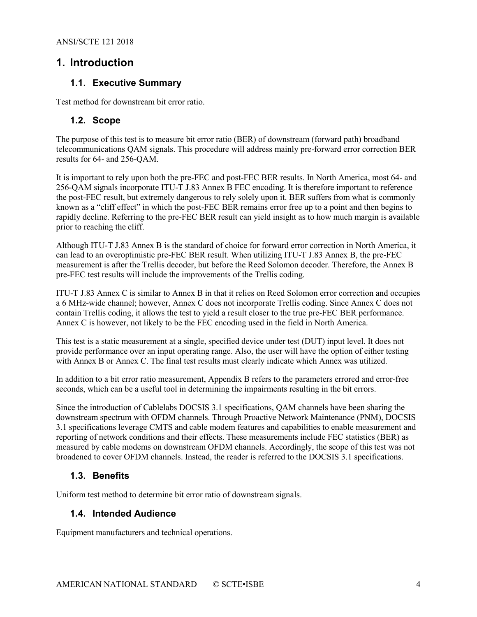## <span id="page-3-1"></span><span id="page-3-0"></span>**1. Introduction**

## **1.1. Executive Summary**

<span id="page-3-2"></span>Test method for downstream bit error ratio.

#### **1.2. Scope**

The purpose of this test is to measure bit error ratio (BER) of downstream (forward path) broadband telecommunications QAM signals. This procedure will address mainly pre-forward error correction BER results for 64- and 256-QAM.

It is important to rely upon both the pre-FEC and post-FEC BER results. In North America, most 64- and 256-QAM signals incorporate ITU-T J.83 Annex B FEC encoding. It is therefore important to reference the post-FEC result, but extremely dangerous to rely solely upon it. BER suffers from what is commonly known as a "cliff effect" in which the post-FEC BER remains error free up to a point and then begins to rapidly decline. Referring to the pre-FEC BER result can yield insight as to how much margin is available prior to reaching the cliff.

Although ITU-T J.83 Annex B is the standard of choice for forward error correction in North America, it can lead to an overoptimistic pre-FEC BER result. When utilizing ITU-T J.83 Annex B, the pre-FEC measurement is after the Trellis decoder, but before the Reed Solomon decoder. Therefore, the Annex B pre-FEC test results will include the improvements of the Trellis coding.

ITU-T J.83 Annex C is similar to Annex B in that it relies on Reed Solomon error correction and occupies a 6 MHz-wide channel; however, Annex C does not incorporate Trellis coding. Since Annex C does not contain Trellis coding, it allows the test to yield a result closer to the true pre-FEC BER performance. Annex C is however, not likely to be the FEC encoding used in the field in North America.

This test is a static measurement at a single, specified device under test (DUT) input level. It does not provide performance over an input operating range. Also, the user will have the option of either testing with Annex B or Annex C. The final test results must clearly indicate which Annex was utilized.

In addition to a bit error ratio measurement, Appendix B refers to the parameters errored and error-free seconds, which can be a useful tool in determining the impairments resulting in the bit errors.

Since the introduction of Cablelabs DOCSIS 3.1 specifications, QAM channels have been sharing the downstream spectrum with OFDM channels. Through Proactive Network Maintenance (PNM), DOCSIS 3.1 specifications leverage CMTS and cable modem features and capabilities to enable measurement and reporting of network conditions and their effects. These measurements include FEC statistics (BER) as measured by cable modems on downstream OFDM channels. Accordingly, the scope of this test was not broadened to cover OFDM channels. Instead, the reader is referred to the DOCSIS 3.1 specifications.

## <span id="page-3-3"></span>**1.3. Benefits**

<span id="page-3-4"></span>Uniform test method to determine bit error ratio of downstream signals.

## **1.4. Intended Audience**

Equipment manufacturers and technical operations.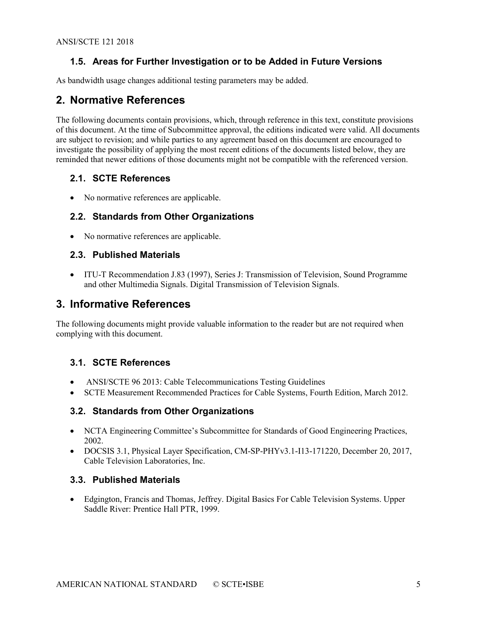## <span id="page-4-0"></span>**1.5. Areas for Further Investigation or to be Added in Future Versions**

<span id="page-4-1"></span>As bandwidth usage changes additional testing parameters may be added.

## **2. Normative References**

The following documents contain provisions, which, through reference in this text, constitute provisions of this document. At the time of Subcommittee approval, the editions indicated were valid. All documents are subject to revision; and while parties to any agreement based on this document are encouraged to investigate the possibility of applying the most recent editions of the documents listed below, they are reminded that newer editions of those documents might not be compatible with the referenced version.

## <span id="page-4-2"></span>**2.1. SCTE References**

<span id="page-4-3"></span>• No normative references are applicable.

## **2.2. Standards from Other Organizations**

• No normative references are applicable.

## <span id="page-4-4"></span>**2.3. Published Materials**

• ITU-T Recommendation J.83 (1997), Series J: Transmission of Television, Sound Programme and other Multimedia Signals. Digital Transmission of Television Signals.

## <span id="page-4-5"></span>**3. Informative References**

The following documents might provide valuable information to the reader but are not required when complying with this document.

## <span id="page-4-6"></span>**3.1. SCTE References**

- ANSI/SCTE 96 2013: Cable Telecommunications Testing Guidelines
- SCTE Measurement Recommended Practices for Cable Systems, Fourth Edition, March 2012.

## <span id="page-4-7"></span>**3.2. Standards from Other Organizations**

- NCTA Engineering Committee's Subcommittee for Standards of Good Engineering Practices, 2002.
- DOCSIS 3.1, Physical Layer Specification, CM-SP-PHYv3.1-I13-171220, December 20, 2017, Cable Television Laboratories, Inc.

## <span id="page-4-8"></span>**3.3. Published Materials**

• Edgington, Francis and Thomas, Jeffrey. Digital Basics For Cable Television Systems. Upper Saddle River: Prentice Hall PTR, 1999.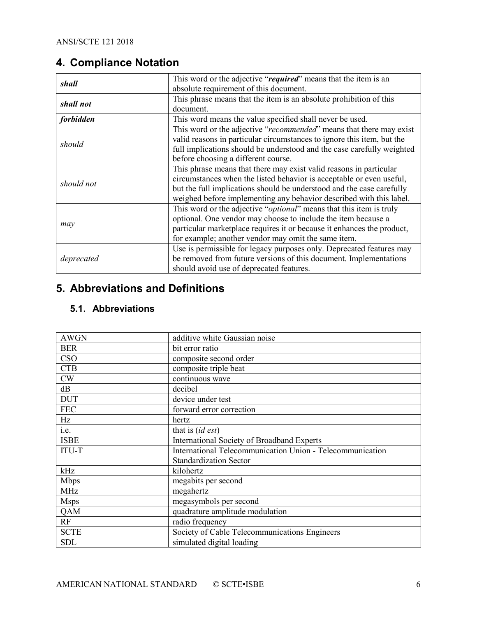## <span id="page-5-0"></span>**4. Compliance Notation**

| shall            | This word or the adjective "required" means that the item is an              |
|------------------|------------------------------------------------------------------------------|
|                  | absolute requirement of this document.                                       |
| shall not        | This phrase means that the item is an absolute prohibition of this           |
|                  | document.                                                                    |
| <i>forbidden</i> | This word means the value specified shall never be used.                     |
|                  | This word or the adjective "recommended" means that there may exist          |
|                  | valid reasons in particular circumstances to ignore this item, but the       |
| should           | full implications should be understood and the case carefully weighted       |
|                  | before choosing a different course.                                          |
|                  | This phrase means that there may exist valid reasons in particular           |
| should not       | circumstances when the listed behavior is acceptable or even useful,         |
|                  | but the full implications should be understood and the case carefully        |
|                  | weighed before implementing any behavior described with this label.          |
|                  | This word or the adjective " <i>optional</i> " means that this item is truly |
|                  | optional. One vendor may choose to include the item because a                |
| may              | particular marketplace requires it or because it enhances the product,       |
|                  | for example; another vendor may omit the same item.                          |
|                  | Use is permissible for legacy purposes only. Deprecated features may         |
| deprecated       | be removed from future versions of this document. Implementations            |
|                  | should avoid use of deprecated features.                                     |

## <span id="page-5-1"></span>**5. Abbreviations and Definitions**

## <span id="page-5-2"></span>**5.1. Abbreviations**

| <b>AWGN</b>  | additive white Gaussian noise                             |
|--------------|-----------------------------------------------------------|
| <b>BER</b>   | bit error ratio                                           |
| <b>CSO</b>   | composite second order                                    |
| <b>CTB</b>   | composite triple beat                                     |
| CW           | continuous wave                                           |
| dB           | decibel                                                   |
| <b>DUT</b>   | device under test                                         |
| <b>FEC</b>   | forward error correction                                  |
| Hz           | hertz                                                     |
| i.e.         | that is $(id \, est)$                                     |
| <b>ISBE</b>  | International Society of Broadband Experts                |
| <b>ITU-T</b> | International Telecommunication Union - Telecommunication |
|              | <b>Standardization Sector</b>                             |
| kHz          | kilohertz                                                 |
| <b>Mbps</b>  | megabits per second                                       |
| <b>MHz</b>   | megahertz                                                 |
| <b>Msps</b>  | megasymbols per second                                    |
| QAM          | quadrature amplitude modulation                           |
| RF           | radio frequency                                           |
| <b>SCTE</b>  | Society of Cable Telecommunications Engineers             |
| <b>SDL</b>   | simulated digital loading                                 |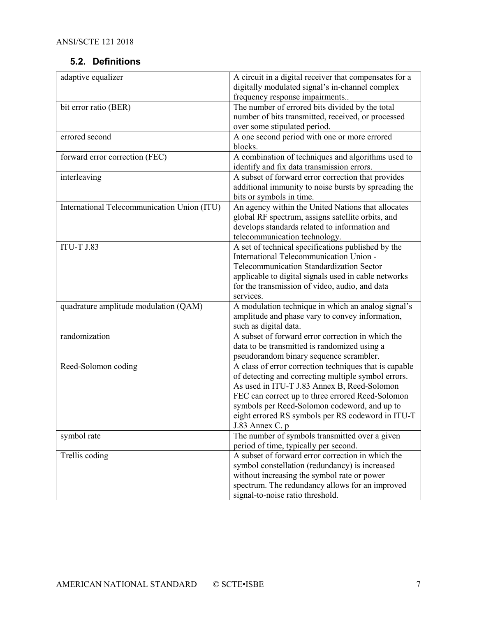## <span id="page-6-0"></span>**5.2. Definitions**

| adaptive equalizer                          | A circuit in a digital receiver that compensates for a |
|---------------------------------------------|--------------------------------------------------------|
|                                             | digitally modulated signal's in-channel complex        |
|                                             | frequency response impairments                         |
| bit error ratio (BER)                       | The number of errored bits divided by the total        |
|                                             | number of bits transmitted, received, or processed     |
|                                             | over some stipulated period.                           |
| errored second                              | A one second period with one or more errored           |
|                                             | blocks.                                                |
| forward error correction (FEC)              | A combination of techniques and algorithms used to     |
|                                             | identify and fix data transmission errors.             |
| interleaving                                | A subset of forward error correction that provides     |
|                                             | additional immunity to noise bursts by spreading the   |
|                                             | bits or symbols in time.                               |
| International Telecommunication Union (ITU) | An agency within the United Nations that allocates     |
|                                             | global RF spectrum, assigns satellite orbits, and      |
|                                             | develops standards related to information and          |
|                                             | telecommunication technology.                          |
| <b>ITU-T J.83</b>                           | A set of technical specifications published by the     |
|                                             | International Telecommunication Union -                |
|                                             | Telecommunication Standardization Sector               |
|                                             | applicable to digital signals used in cable networks   |
|                                             | for the transmission of video, audio, and data         |
|                                             | services.                                              |
| quadrature amplitude modulation (QAM)       | A modulation technique in which an analog signal's     |
|                                             | amplitude and phase vary to convey information,        |
|                                             | such as digital data.                                  |
| randomization                               | A subset of forward error correction in which the      |
|                                             | data to be transmitted is randomized using a           |
|                                             | pseudorandom binary sequence scrambler.                |
| Reed-Solomon coding                         | A class of error correction techniques that is capable |
|                                             | of detecting and correcting multiple symbol errors.    |
|                                             | As used in ITU-T J.83 Annex B, Reed-Solomon            |
|                                             | FEC can correct up to three errored Reed-Solomon       |
|                                             | symbols per Reed-Solomon codeword, and up to           |
|                                             | eight errored RS symbols per RS codeword in ITU-T      |
|                                             | J.83 Annex C. p                                        |
| symbol rate                                 | The number of symbols transmitted over a given         |
|                                             | period of time, typically per second.                  |
| Trellis coding                              | A subset of forward error correction in which the      |
|                                             | symbol constellation (redundancy) is increased         |
|                                             | without increasing the symbol rate or power            |
|                                             | spectrum. The redundancy allows for an improved        |
|                                             | signal-to-noise ratio threshold.                       |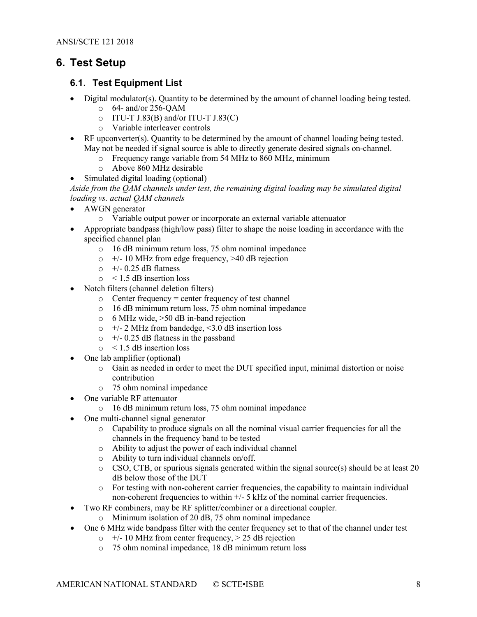## <span id="page-7-0"></span>**6. Test Setup**

## <span id="page-7-1"></span>**6.1. Test Equipment List**

- Digital modulator(s). Quantity to be determined by the amount of channel loading being tested.
	- $\circ$  64- and/or 256-OAM
	- $\circ$  ITU-T J.83(B) and/or ITU-T J.83(C)
	- o Variable interleaver controls
- RF upconverter(s). Quantity to be determined by the amount of channel loading being tested. May not be needed if signal source is able to directly generate desired signals on-channel.
	- o Frequency range variable from 54 MHz to 860 MHz, minimum
	- o Above 860 MHz desirable
- Simulated digital loading (optional)

*Aside from the QAM channels under test, the remaining digital loading may be simulated digital loading vs. actual QAM channels*

- AWGN generator
	- o Variable output power or incorporate an external variable attenuator
- Appropriate bandpass (high/low pass) filter to shape the noise loading in accordance with the specified channel plan
	- o 16 dB minimum return loss, 75 ohm nominal impedance
	- $\circ$  +/- 10 MHz from edge frequency, >40 dB rejection
	- $\circ$  +/- 0.25 dB flatness
	- $\circ$  < 1.5 dB insertion loss
- Notch filters (channel deletion filters)
	- o Center frequency = center frequency of test channel
	- o 16 dB minimum return loss, 75 ohm nominal impedance
	- o 6 MHz wide, >50 dB in-band rejection
	- $\circ$  +/- 2 MHz from bandedge, <3.0 dB insertion loss
	- $\circ$  +/- 0.25 dB flatness in the passband
	- $\circ$  < 1.5 dB insertion loss
- One lab amplifier (optional)
	- o Gain as needed in order to meet the DUT specified input, minimal distortion or noise contribution
	- o 75 ohm nominal impedance
- One variable RF attenuator
	- o 16 dB minimum return loss, 75 ohm nominal impedance
- One multi-channel signal generator
	- o Capability to produce signals on all the nominal visual carrier frequencies for all the channels in the frequency band to be tested
	- o Ability to adjust the power of each individual channel
	- o Ability to turn individual channels on/off.
	- o CSO, CTB, or spurious signals generated within the signal source(s) should be at least 20 dB below those of the DUT
	- o For testing with non-coherent carrier frequencies, the capability to maintain individual non-coherent frequencies to within +/- 5 kHz of the nominal carrier frequencies.
- Two RF combiners, may be RF splitter/combiner or a directional coupler.
	- o Minimum isolation of 20 dB, 75 ohm nominal impedance
- One 6 MHz wide bandpass filter with the center frequency set to that of the channel under test
	- $\circ$  +/- 10 MHz from center frequency, > 25 dB rejection
	- o 75 ohm nominal impedance, 18 dB minimum return loss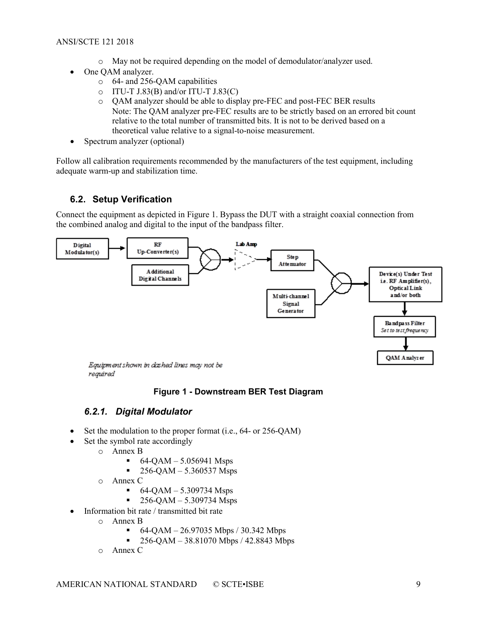- o May not be required depending on the model of demodulator/analyzer used.
- One QAM analyzer.
	- o 64- and 256-QAM capabilities
	- $\circ$  ITU-T J.83(B) and/or ITU-T J.83(C)
	- o QAM analyzer should be able to display pre-FEC and post-FEC BER results Note: The QAM analyzer pre-FEC results are to be strictly based on an errored bit count relative to the total number of transmitted bits. It is not to be derived based on a theoretical value relative to a signal-to-noise measurement.
- Spectrum analyzer (optional)

Follow all calibration requirements recommended by the manufacturers of the test equipment, including adequate warm-up and stabilization time.

## <span id="page-8-0"></span>**6.2. Setup Verification**

Connect the equipment as depicted in [Figure 1.](#page-8-2) Bypass the DUT with a straight coaxial connection from the combined analog and digital to the input of the bandpass filter.



<span id="page-8-2"></span>reguired

## **Figure 1 - Downstream BER Test Diagram**

## *6.2.1. Digital Modulator*

- <span id="page-8-1"></span>Set the modulation to the proper format (i.e., 64- or 256-QAM)
- Set the symbol rate accordingly
	- o Annex B
		- 64-QAM 5.056941 Msps
		- $-256$ -QAM 5.360537 Msps
	- o Annex C
		- 64-QAM 5.309734 Msps
		- 256-QAM 5.309734 Msps
- Information bit rate / transmitted bit rate
	- o Annex B
		- 64-QAM 26.97035 Mbps / 30.342 Mbps
		- $\sim 256$ -QAM 38.81070 Mbps / 42.8843 Mbps
	- o Annex C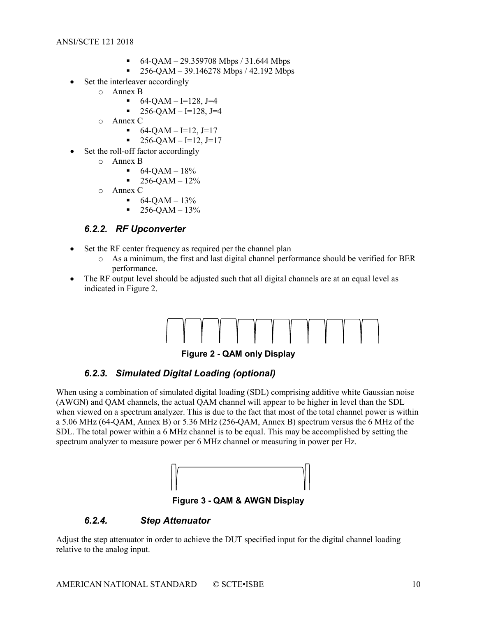- $-64-QAM 29.359708 Mbps / 31.644 Mbps$
- $\blacksquare$  256-QAM 39.146278 Mbps / 42.192 Mbps
- Set the interleaver accordingly
	- o Annex B
		- $-64-QAM I=128, J=4$
		- $-256$ -QAM I=128, J=4
	- o Annex C
		- $-64-QAM I=12, J=17$
		- $\blacksquare$  256-QAM I=12, J=17
	- Set the roll-off factor accordingly
		- o Annex B
			- $-64-QAM 18%$
			- $-256-QAM 12%$
		- o Annex C
			- $-64-QAM 13%$
			- $-256-QAM 13%$

## <span id="page-9-0"></span>*6.2.2. RF Upconverter*

- Set the RF center frequency as required per the channel plan
	- o As a minimum, the first and last digital channel performance should be verified for BER performance.
- The RF output level should be adjusted such that all digital channels are at an equal level as indicated in [Figure 2.](#page-9-3)



**Figure 2 - QAM only Display**

## <span id="page-9-3"></span>*6.2.3. Simulated Digital Loading (optional)*

<span id="page-9-1"></span>When using a combination of simulated digital loading (SDL) comprising additive white Gaussian noise (AWGN) and QAM channels, the actual QAM channel will appear to be higher in level than the SDL when viewed on a spectrum analyzer. This is due to the fact that most of the total channel power is within a 5.06 MHz (64-QAM, Annex B) or 5.36 MHz (256-QAM, Annex B) spectrum versus the 6 MHz of the SDL. The total power within a 6 MHz channel is to be equal. This may be accomplished by setting the spectrum analyzer to measure power per 6 MHz channel or measuring in power per Hz.



<span id="page-9-2"></span>**Figure 3 - QAM & AWGN Display**

#### <span id="page-9-4"></span>*6.2.4. Step Attenuator*

Adjust the step attenuator in order to achieve the DUT specified input for the digital channel loading relative to the analog input.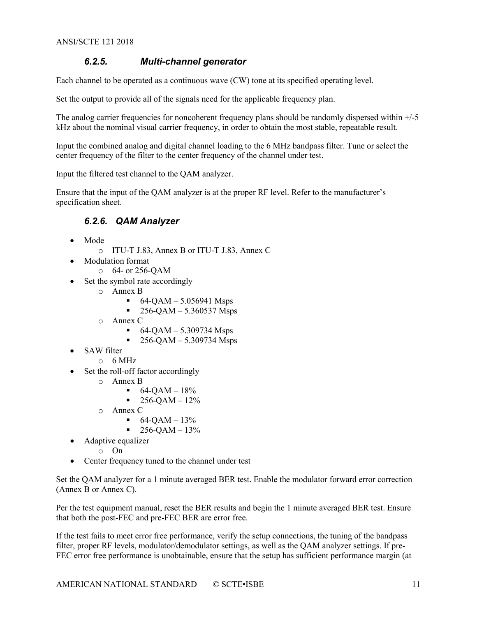## <span id="page-10-0"></span>*6.2.5. Multi-channel generator*

Each channel to be operated as a continuous wave (CW) tone at its specified operating level.

Set the output to provide all of the signals need for the applicable frequency plan.

The analog carrier frequencies for noncoherent frequency plans should be randomly dispersed within  $+/5$ kHz about the nominal visual carrier frequency, in order to obtain the most stable, repeatable result.

Input the combined analog and digital channel loading to the 6 MHz bandpass filter. Tune or select the center frequency of the filter to the center frequency of the channel under test.

Input the filtered test channel to the QAM analyzer.

<span id="page-10-1"></span>Ensure that the input of the QAM analyzer is at the proper RF level. Refer to the manufacturer's specification sheet.

## *6.2.6. QAM Analyzer*

- Mode
	- o ITU-T J.83, Annex B or ITU-T J.83, Annex C
- Modulation format
	- o 64- or 256-QAM
- Set the symbol rate accordingly
	- o Annex B
		- $-64-QAM 5.056941$  Msps
		- $-256-QAM 5.360537$  Msps
	- o Annex C
		- $-64-QAM 5.309734$  Msps
		- $-256$ -QAM 5.309734 Msps
- SAW filter
	- $\circ$  6 MHz
- Set the roll-off factor accordingly
	- o Annex B
		- $-64-OAM 18%$
		- $-256$ -QAM  $12\%$
	- o Annex C
		- $-64-QAM 13%$
		- $-256$ -OAM 13%
- Adaptive equalizer
	- o On
- Center frequency tuned to the channel under test

Set the QAM analyzer for a 1 minute averaged BER test. Enable the modulator forward error correction (Annex B or Annex C).

Per the test equipment manual, reset the BER results and begin the 1 minute averaged BER test. Ensure that both the post-FEC and pre-FEC BER are error free.

If the test fails to meet error free performance, verify the setup connections, the tuning of the bandpass filter, proper RF levels, modulator/demodulator settings, as well as the QAM analyzer settings. If pre-FEC error free performance is unobtainable, ensure that the setup has sufficient performance margin (at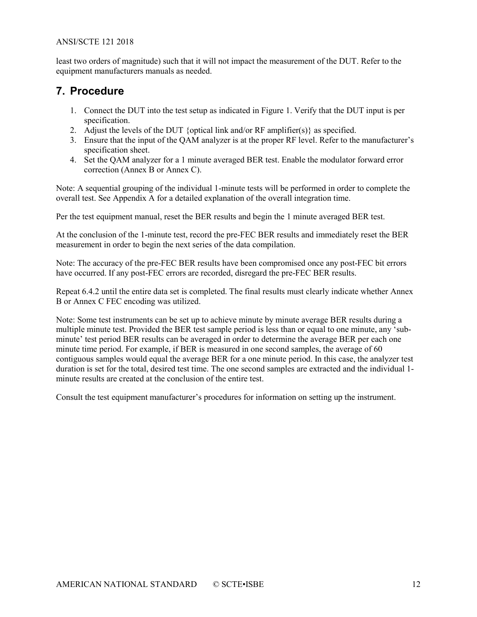#### ANSI/SCTE 121 2018

least two orders of magnitude) such that it will not impact the measurement of the DUT. Refer to the equipment manufacturers manuals as needed.

## <span id="page-11-0"></span>**7. Procedure**

- 1. Connect the DUT into the test setup as indicated in [Figure 1.](#page-8-2) Verify that the DUT input is per specification.
- 2. Adjust the levels of the DUT {optical link and/or RF amplifier(s)} as specified.
- 3. Ensure that the input of the QAM analyzer is at the proper RF level. Refer to the manufacturer's specification sheet.
- 4. Set the QAM analyzer for a 1 minute averaged BER test. Enable the modulator forward error correction (Annex B or Annex C).

Note: A sequential grouping of the individual 1-minute tests will be performed in order to complete the overall test. See Appendix A for a detailed explanation of the overall integration time.

Per the test equipment manual, reset the BER results and begin the 1 minute averaged BER test.

At the conclusion of the 1-minute test, record the pre-FEC BER results and immediately reset the BER measurement in order to begin the next series of the data compilation.

Note: The accuracy of the pre-FEC BER results have been compromised once any post-FEC bit errors have occurred. If any post-FEC errors are recorded, disregard the pre-FEC BER results.

Repeat 6.4.2 until the entire data set is completed. The final results must clearly indicate whether Annex B or Annex C FEC encoding was utilized.

Note: Some test instruments can be set up to achieve minute by minute average BER results during a multiple minute test. Provided the BER test sample period is less than or equal to one minute, any 'subminute' test period BER results can be averaged in order to determine the average BER per each one minute time period. For example, if BER is measured in one second samples, the average of 60 contiguous samples would equal the average BER for a one minute period. In this case, the analyzer test duration is set for the total, desired test time. The one second samples are extracted and the individual 1 minute results are created at the conclusion of the entire test.

Consult the test equipment manufacturer's procedures for information on setting up the instrument.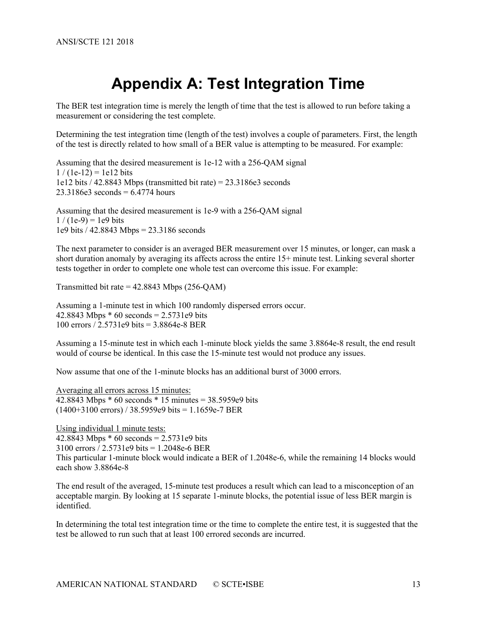# **Appendix A: Test Integration Time**

<span id="page-12-0"></span>The BER test integration time is merely the length of time that the test is allowed to run before taking a measurement or considering the test complete.

Determining the test integration time (length of the test) involves a couple of parameters. First, the length of the test is directly related to how small of a BER value is attempting to be measured. For example:

Assuming that the desired measurement is 1e-12 with a 256-QAM signal  $1/(1e-12) = 1e12$  bits 1e12 bits  $/$  42.8843 Mbps (transmitted bit rate) = 23.3186e3 seconds  $23.3186e3$  seconds = 6.4774 hours

Assuming that the desired measurement is 1e-9 with a 256-QAM signal  $1/(1e-9) = 1e9$  bits 1e9 bits / 42.8843 Mbps = 23.3186 seconds

The next parameter to consider is an averaged BER measurement over 15 minutes, or longer, can mask a short duration anomaly by averaging its affects across the entire 15+ minute test. Linking several shorter tests together in order to complete one whole test can overcome this issue. For example:

Transmitted bit rate  $= 42.8843$  Mbps (256-QAM)

Assuming a 1-minute test in which 100 randomly dispersed errors occur. 42.8843 Mbps  $*$  60 seconds = 2.5731e9 bits 100 errors / 2.5731e9 bits = 3.8864e-8 BER

Assuming a 15-minute test in which each 1-minute block yields the same 3.8864e-8 result, the end result would of course be identical. In this case the 15-minute test would not produce any issues.

Now assume that one of the 1-minute blocks has an additional burst of 3000 errors.

Averaging all errors across 15 minutes: 42.8843 Mbps  $*$  60 seconds  $*$  15 minutes = 38.5959e9 bits  $(1400+3100 \text{ errors})$  / 38.5959e9 bits = 1.1659e-7 BER

Using individual 1 minute tests: 42.8843 Mbps  $*$  60 seconds = 2.5731e9 bits 3100 errors / 2.5731e9 bits = 1.2048e-6 BER This particular 1-minute block would indicate a BER of 1.2048e-6, while the remaining 14 blocks would each show 3.8864e-8

The end result of the averaged, 15-minute test produces a result which can lead to a misconception of an acceptable margin. By looking at 15 separate 1-minute blocks, the potential issue of less BER margin is identified.

In determining the total test integration time or the time to complete the entire test, it is suggested that the test be allowed to run such that at least 100 errored seconds are incurred.